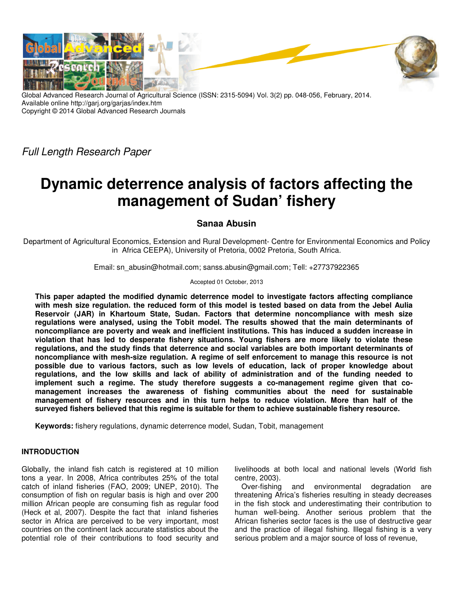

Global Advanced Research Journal of Agricultural Science (ISSN: 2315-5094) Vol. 3(2) pp. 048-056, February, 2014. Available online http://garj.org/garjas/index.htm Copyright © 2014 Global Advanced Research Journals

*Full Length Research Paper*

# **Dynamic deterrence analysis of factors affecting the management of Sudan' fishery**

## **Sanaa Abusin**

Department of Agricultural Economics, Extension and Rural Development- Centre for Environmental Economics and Policy in Africa CEEPA), University of Pretoria, 0002 Pretoria, South Africa.

Email: sn\_abusin@hotmail.com; sanss.abusin@gmail.com; Tell: +27737922365

## Accepted 01 October, 2013

**This paper adapted the modified dynamic deterrence model to investigate factors affecting compliance with mesh size regulation. the reduced form of this model is tested based on data from the Jebel Aulia Reservoir (JAR) in Khartoum State, Sudan. Factors that determine noncompliance with mesh size regulations were analysed, using the Tobit model. The results showed that the main determinants of noncompliance are poverty and weak and inefficient institutions. This has induced a sudden increase in violation that has led to desperate fishery situations. Young fishers are more likely to violate these regulations, and the study finds that deterrence and social variables are both important determinants of noncompliance with mesh-size regulation. A regime of self enforcement to manage this resource is not possible due to various factors, such as low levels of education, lack of proper knowledge about regulations, and the low skills and lack of ability of administration and of the funding needed to implement such a regime. The study therefore suggests a co-management regime given that comanagement increases the awareness of fishing communities about the need for sustainable management of fishery resources and in this turn helps to reduce violation. More than half of the surveyed fishers believed that this regime is suitable for them to achieve sustainable fishery resource.** 

**Keywords:** fishery regulations, dynamic deterrence model, Sudan, Tobit, management

## **INTRODUCTION**

Globally, the inland fish catch is registered at 10 million tons a year. In 2008, Africa contributes 25% of the total catch of inland fisheries (FAO, 2009; UNEP, 2010). The consumption of fish on regular basis is high and over 200 million African people are consuming fish as regular food (Heck et al, 2007). Despite the fact that inland fisheries sector in Africa are perceived to be very important, most countries on the continent lack accurate statistics about the potential role of their contributions to food security and livelihoods at both local and national levels (World fish centre, 2003).

Over-fishing and environmental degradation are threatening Africa's fisheries resulting in steady decreases in the fish stock and underestimating their contribution to human well-being. Another serious problem that the African fisheries sector faces is the use of destructive gear and the practice of illegal fishing. Illegal fishing is a very serious problem and a major source of loss of revenue,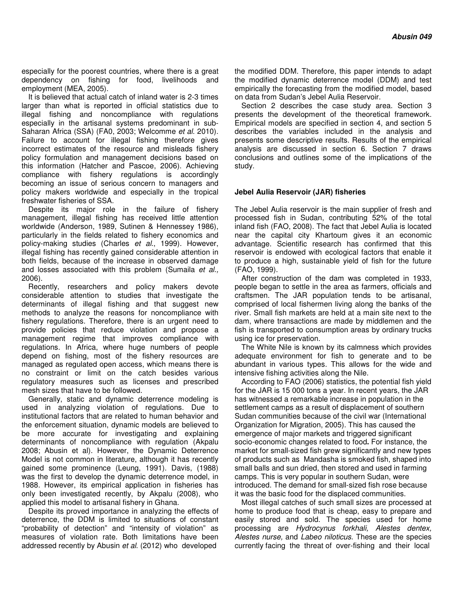especially for the poorest countries, where there is a great dependency on fishing for food, livelihoods and employment (MEA, 2005).

It is believed that actual catch of inland water is 2-3 times larger than what is reported in official statistics due to illegal fishing and noncompliance with regulations especially in the artisanal systems predominant in sub-Saharan Africa (SSA) (FA0, 2003; Welcomme *et al*. 2010). Failure to account for illegal fishing therefore gives incorrect estimates of the resource and misleads fishery policy formulation and management decisions based on this information (Hatcher and Pascoe, 2006). Achieving compliance with fishery regulations is accordingly becoming an issue of serious concern to managers and policy makers worldwide and especially in the tropical freshwater fisheries of SSA.

Despite its major role in the failure of fishery management, illegal fishing has received little attention worldwide (Anderson, 1989, Sutinen & Hennessey 1986), particularly in the fields related to fishery economics and policy-making studies (Charles *et al*., 1999). However, illegal fishing has recently gained considerable attention in both fields, because of the increase in observed damage and losses associated with this problem (Sumaila *et al.,* 2006).

Recently, researchers and policy makers devote considerable attention to studies that investigate the determinants of illegal fishing and that suggest new methods to analyze the reasons for noncompliance with fishery regulations. Therefore, there is an urgent need to provide policies that reduce violation and propose a management regime that improves compliance with regulations. In Africa, where huge numbers of people depend on fishing, most of the fishery resources are managed as regulated open access, which means there is no constraint or limit on the catch besides various regulatory measures such as licenses and prescribed mesh sizes that have to be followed.

Generally, static and dynamic deterrence modeling is used in analyzing violation of regulations. Due to institutional factors that are related to human behavior and the enforcement situation, dynamic models are believed to be more accurate for investigating and explaining determinants of noncompliance with regulation (Akpalu 2008; Abusin et al). However, the Dynamic Deterrence Model is not common in literature, although it has recently gained some prominence (Leung, 1991). Davis, (1988) was the first to develop the dynamic deterrence model, in 1988. However, its empirical application in fisheries has only been investigated recently, by Akpalu (2008), who applied this model to artisanal fishery in Ghana.

Despite its proved importance in analyzing the effects of deterrence, the DDM is limited to situations of constant "probability of detection" and "intensity of violation" as measures of violation rate. Both limitations have been addressed recently by Abusin *et al*. (2012) who developed

the modified DDM. Therefore, this paper intends to adapt the modified dynamic deterrence model (DDM) and test empirically the forecasting from the modified model, based on data from Sudan's Jebel Aulia Reservoir.

Section 2 describes the case study area. Section 3 presents the development of the theoretical framework. Empirical models are specified in section 4, and section 5 describes the variables included in the analysis and presents some descriptive results. Results of the empirical analysis are discussed in section 6. Section 7 draws conclusions and outlines some of the implications of the study.

## **Jebel Aulia Reservoir (JAR) fisheries**

The Jebel Aulia reservoir is the main supplier of fresh and processed fish in Sudan, contributing 52% of the total inland fish (FAO, 2008). The fact that Jebel Aulia is located near the capital city Khartoum gives it an economic advantage. Scientific research has confirmed that this reservoir is endowed with ecological factors that enable it to produce a high, sustainable yield of fish for the future (FAO, 1999).

After construction of the dam was completed in 1933, people began to settle in the area as farmers, officials and craftsmen. The JAR population tends to be artisanal, comprised of local fishermen living along the banks of the river. Small fish markets are held at a main site next to the dam, where transactions are made by middlemen and the fish is transported to consumption areas by ordinary trucks using ice for preservation.

The White Nile is known by its calmness which provides adequate environment for fish to generate and to be abundant in various types. This allows for the wide and intensive fishing activities along the Nile.

According to FAO (2006) statistics, the potential fish yield for the JAR is 15 000 tons a year. In recent years, the JAR has witnessed a remarkable increase in population in the settlement camps as a result of displacement of southern Sudan communities because of the civil war (International Organization for Migration, 2005). This has caused the emergence of major markets and triggered significant socio-economic changes related to food**.** For instance, the market for small-sized fish grew significantly and new types of products such as Mandasha is smoked fish, shaped into small balls and sun dried, then stored and used in farming camps. This is very popular in southern Sudan, were introduced. The demand for small-sized fish rose because it was the basic food for the displaced communities.

Most illegal catches of such small sizes are processed at home to produce food that is cheap, easy to prepare and easily stored and sold. The species used for home processing are *Hydrocynus forkhali, Alestes dentex, Alestes nurse,* and *Labeo niloticus.* These are the species currently facing the threat of over-fishing and their local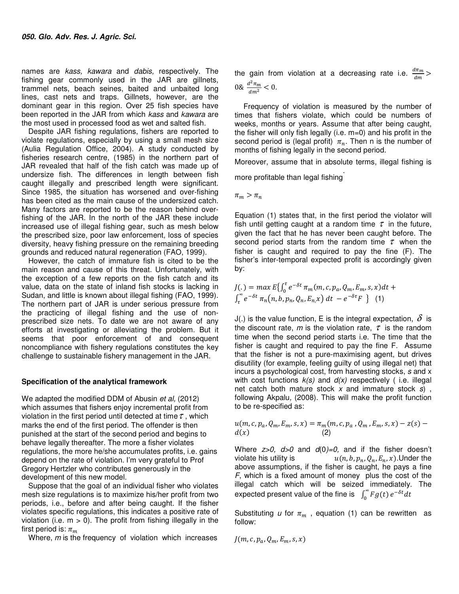names are *kass, kawara* and *dabis,* respectively. The fishing gear commonly used in the JAR are gillnets, trammel nets, beach seines, baited and unbaited long lines, cast nets and traps. Gillnets, however, are the dominant gear in this region. Over 25 fish species have been reported in the JAR from which *kass* and *kawara* are the most used in processed food as wet and salted fish.

Despite JAR fishing regulations, fishers are reported to violate regulations, especially by using a small mesh size (Aulia Regulation Office, 2004). A study conducted by fisheries research centre, (1985) in the northern part of JAR revealed that half of the fish catch was made up of undersize fish. The differences in length between fish caught illegally and prescribed length were significant. Since 1985, the situation has worsened and over-fishing has been cited as the main cause of the undersized catch. Many factors are reported to be the reason behind overfishing of the JAR. In the north of the JAR these include increased use of illegal fishing gear, such as mesh below the prescribed size, poor law enforcement, loss of species diversity, heavy fishing pressure on the remaining breeding grounds and reduced natural regeneration (FAO, 1999).

However, the catch of immature fish is cited to be the main reason and cause of this threat. Unfortunately, with the exception of a few reports on the fish catch and its value, data on the state of inland fish stocks is lacking in Sudan, and little is known about illegal fishing (FAO, 1999). The northern part of JAR is under serious pressure from the practicing of illegal fishing and the use of nonprescribed size nets. To date we are not aware of any efforts at investigating or alleviating the problem. But it seems that poor enforcement of and consequent noncompliance with fishery regulations constitutes the key challenge to sustainable fishery management in the JAR.

#### **Specification of the analytical framework**

We adapted the modified DDM of Abusin *et al,* (2012) which assumes that fishers enjoy incremental profit from violation in the first period until detected at time  $\tau$ , which marks the end of the first period. The offender is then punished at the start of the second period and begins to behave legally thereafter. The more a fisher violates regulations, the more he/she accumulates profits, i.e. gains depend on the rate of violation. I'm very grateful to Prof Gregory Hertzler who contributes generously in the development of this new model.

Suppose that the goal of an individual fisher who violates mesh size regulations is to maximize his/her profit from two periods, i.e., before and after being caught. If the fisher violates specific regulations, this indicates a positive rate of violation (i.e.  $m > 0$ ). The profit from fishing illegally in the first period is:  $\pi_m$ 

Where, *m* is the frequency of violation which increases

the gain from violation at a decreasing rate i.e.  $\frac{d\pi_m}{dm}$  > 0&  $\frac{d^2\pi_m}{dm^2}$  $0 \& \frac{u_{m}}{dm^2} < 0.$ 

Frequency of violation is measured by the number of times that fishers violate, which could be numbers of weeks, months or years. Assume that after being caught, the fisher will only fish legally (i.e. m=0) and his profit in the second period is (legal profit)  $\pi_n$ . Then n is the number of months of fishing legally in the second period.

Moreover, assume that in absolute terms, illegal fishing is

more profitable than legal fishing .

 $\pi_m > \pi_n$ 

Equation (1) states that, in the first period the violator will fish until getting caught at a random time  $\tau$  in the future, given the fact that he has never been caught before. The second period starts from the random time  $\tau$  when the fisher is caught and required to pay the fine (F). The fisher's inter-temporal expected profit is accordingly given by:

$$
J(.) = \max E \{ \int_0^{\tau} e^{-\delta t} \pi_m(m, c, p_a, Q_m, E_m, s, x) dt + \int_{\tau}^{\infty} e^{-\delta t} \pi_n(n, b, p_n, Q_n, E_n, x) dt - e^{-\delta \tau} F \} \quad (1)
$$

J(.) is the value function, E is the integral expectation,  $\delta$  is the discount rate,  $m$  is the violation rate,  $\tau$  is the random time when the second period starts i.e. The time that the fisher is caught and required to pay the fine F. Assume that the fisher is not a pure-maximising agent, but drives disutility (for example, feeling guilty of using illegal net) that incurs a psychological cost, from harvesting stocks, *s* and x with cost functions *k(s)* and *d(x)* respectively ( i.e. illegal net catch both mature stock *x* and immature stock *s*) , following Akpalu*,* (2008). This will make the profit function to be re-specified as:

$$
u(m, c, p_a, Q_m, E_m, s, x) = \pi_m(m, c, p_a, Q_m, E_m, s, x) - z(s) - d(x)
$$
\n(2)

Where *z>0, d>0* and *d*(0*)=0,* and if the fisher doesn't violate his utility is  $u(n, b, p_n, Q_n, E_n, x)$ . Under the above assumptions, if the fisher is caught, he pays a fine *F*, which is a fixed amount of money plus the cost of the illegal catch which will be seized immediately. The expected present value of the fine is  $\int_0^\infty F g(t) e^{-\delta t} dt$ 

Substituting *u* for  $\pi_m$ , equation (1) can be rewritten as follow:

$$
J(m, c, p_a, Q_m, E_m, s, x)
$$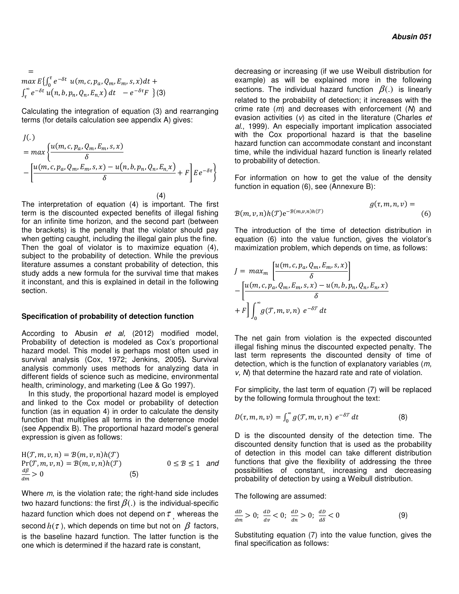$$
= \max E\{\int_0^{\tau} e^{-\delta t} u(m, c, p_a, Q_m, E_m, s, x) dt + \int_{\tau}^{\infty} e^{-\delta t} u(n, b, p_n, Q_n, E_n, x) dt - e^{-\delta \tau} F \}
$$
(3)

Calculating the integration of equation (3) and rearranging terms (for details calculation see appendix A) gives:

$$
J(.)
$$
  
= 
$$
max \left\{ \frac{u(m, c, p_a, Q_m, E_m, s, x)}{\delta} - \left[ \frac{u(m, c, p_a, Q_m, E_m, s, x) - u(n, b, p_n, Q_n, E_n, x)}{\delta} + F \right] E e^{-\delta \tau} \right\}
$$
  
(4)

The interpretation of equation (4) is important. The first term is the discounted expected benefits of illegal fishing for an infinite time horizon, and the second part (between the brackets) is the penalty that the violator should pay when getting caught, including the illegal gain plus the fine. Then the goal of violator is to maximize equation (4), subject to the probability of detection. While the previous literature assumes a constant probability of detection, this study adds a new formula for the survival time that makes it inconstant, and this is explained in detail in the following section.

#### **Specification of probability of detection function**

According to Abusin *et al,* (2012) modified model, Probability of detection is modeled as Cox's proportional hazard model. This model is perhaps most often used in survival analysis (Cox, 1972; Jenkins, 2005**).** Survival analysis commonly uses methods for analyzing data in different fields of science such as medicine, environmental health, criminology, and marketing (Lee & Go 1997).

In this study, the proportional hazard model is employed and linked to the Cox model or probability of detection function (as in equation 4) in order to calculate the density function that multiplies all terms in the deterrence model (see Appendix B). The proportional hazard model's general expression is given as follows:

$$
H(\mathcal{T}, m, v, n) = B(m, v, n)h(\mathcal{T})
$$
  
Pr(\mathcal{T}, m, v, n) = B(m, v, n)h(\mathcal{T}) \t\t\t 0 \le B \le 1 and  

$$
\frac{dB}{dm} > 0
$$
\t\t(5)

Where *m*, is the violation rate; the right-hand side includes two hazard functions: the first  $\beta(.)$  is the individual-specific hazard function which does not depend on  $\tau$  whereas the second  $h(\tau)$ , which depends on time but not on  $\beta$  factors, is the baseline hazard function. The latter function is the one which is determined if the hazard rate is constant,

decreasing or increasing (if we use Weibull distribution for example) as will be explained more in the following sections. The individual hazard function  $\beta(.)$  is linearly related to the probability of detection; it increases with the crime rate (*m*) and decreases with enforcement (*N*) and evasion activities (*v*) as cited in the literature (Charles *et al*., 1999). An especially important implication associated with the Cox proportional hazard is that the baseline hazard function can accommodate constant and inconstant time, while the individual hazard function is linearly related to probability of detection.

For information on how to get the value of the density function in equation (6), see (Annexure B):

$$
g(\tau, m, n, \nu) =
$$
  
 
$$
g(\tau, m, n, \nu) =
$$
  
(6)

The introduction of the time of detection distribution in equation (6) into the value function, gives the violator's maximization problem, which depends on time, as follows:

$$
J = max_m \left[ \frac{u(m, c, p_a, Q_m, E_m, s, x)}{\delta} \right]
$$
  
- 
$$
\left[ \frac{u(m, c, p_a, Q_m, E_m, s, x) - u(n, b, p_n, Q_n, E_n, x)}{\delta} \right]
$$
  
+ 
$$
F \left] \int_0^\infty g(\mathcal{T}, m, v, n) e^{-\delta \mathcal{T}} dt
$$

The net gain from violation is the expected discounted illegal fishing minus the discounted expected penalty. The last term represents the discounted density of time of detection, which is the function of explanatory variables (*m, v, N*) that determine the hazard rate and rate of violation.

For simplicity, the last term of equation (7) will be replaced by the following formula throughout the text:

$$
D(\tau, m, n, \nu) = \int_0^\infty g(\tau, m, \nu, n) e^{-\delta \tau} dt \tag{8}
$$

D is the discounted density of the detection time. The discounted density function that is used as the probability of detection in this model can take different distribution functions that give the flexibility of addressing the three possibilities of constant, increasing and decreasing probability of detection by using a Weibull distribution.

The following are assumed:

$$
\frac{dD}{dm} > 0; \quad \frac{dD}{dv} < 0; \quad \frac{dD}{dn} > 0; \quad \frac{dD}{d\delta} < 0 \tag{9}
$$

Substituting equation (7) into the value function, gives the final specification as follows: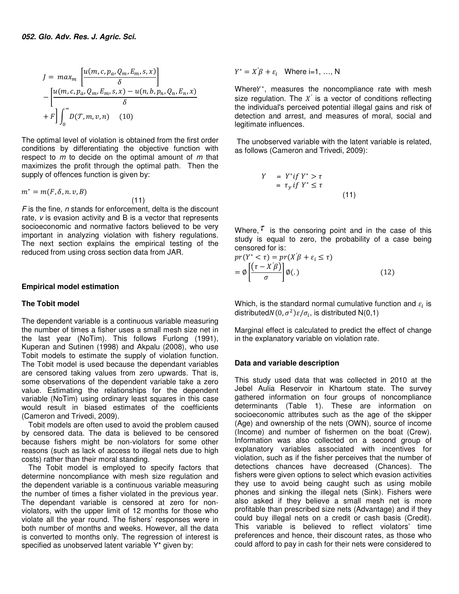$$
J = \max_{m} \left[ \frac{u(m, c, p_a, Q_m, E_m, s, x)}{\delta} \right]
$$

$$
- \left[ \frac{u(m, c, p_a, Q_m, E_m, s, x) - u(n, b, p_n, Q_n, E_n, x)}{\delta} \right]
$$

$$
+ F \left[ \int_0^\infty D(\mathcal{T}, m, v, n) \right] (10)
$$

The optimal level of violation is obtained from the first order conditions by differentiating the objective function with respect to *m* to decide on the optimal amount of *m* that maximizes the profit through the optimal path. Then the supply of offences function is given by:

 $m^* = m(F, \delta, n, v, B)$ 

$$
m = m(r, o, n, v, B)
$$
\n(11)

*F* is the fine, *n* stands for enforcement, delta is the discount rate, *v* is evasion activity and B is a vector that represents socioeconomic and normative factors believed to be very important in analyzing violation with fishery regulations. The next section explains the empirical testing of the reduced from using cross section data from JAR.

## **Empirical model estimation**

### **The Tobit model**

The dependent variable is a continuous variable measuring the number of times a fisher uses a small mesh size net in the last year (NoTim). This follows Furlong (1991), Kuperan and Sutinen (1998) and Akpalu (2008), who use Tobit models to estimate the supply of violation function. The Tobit model is used because the dependant variables are censored taking values from zero upwards. That is, some observations of the dependent variable take a zero value. Estimating the relationships for the dependent variable (NoTim) using ordinary least squares in this case would result in biased estimates of the coefficients (Cameron and Trivedi, 2009).

Tobit models are often used to avoid the problem caused by censored data. The data is believed to be censored because fishers might be non-violators for some other reasons (such as lack of access to illegal nets due to high costs) rather than their moral standing.

The Tobit model is employed to specify factors that determine noncompliance with mesh size regulation and the dependent variable is a continuous variable measuring the number of times a fisher violated in the previous year. The dependant variable is censored at zero for nonviolators, with the upper limit of 12 months for those who violate all the year round. The fishers' responses were in both number of months and weeks. However, all the data is converted to months only. The regression of interest is specified as unobserved latent variable Y\* given by:

 $Y^* = X'\beta + \varepsilon_i$  Where i=1, ..., N

WhereY\*, measures the noncompliance rate with mesh size regulation. The  $X$  is a vector of conditions reflecting *′* the individual's perceived potential illegal gains and risk of detection and arrest, and measures of moral, social and legitimate influences.

 The unobserved variable with the latent variable is related, as follows (Cameron and Trivedi, 2009):

$$
Y = Y^*if Y^* > \tau
$$
  
=  $\tau_y if Y^* \leq \tau$  (11)

Where,  $\tau$  is the censoring point and in the case of this study is equal to zero, the probability of a case being censored for is:

$$
pr(Y^* < \tau) = pr(X'\beta + \varepsilon_i \le \tau)
$$
  
=  $\emptyset \left[ \frac{(\tau - X'\beta)}{\sigma} \right] \emptyset(.)$  (12)

Which, is the standard normal cumulative function and  $\varepsilon_i$  is distributed $N(0, \sigma^2)\varepsilon/\sigma_i$ , is distributed N(0,1)

Marginal effect is calculated to predict the effect of change in the explanatory variable on violation rate.

## **Data and variable description**

This study used data that was collected in 2010 at the Jebel Aulia Reservoir in Khartoum state. The survey gathered information on four groups of noncompliance determinants (Table 1). These are information on socioeconomic attributes such as the age of the skipper (Age) and ownership of the nets (OWN), source of income (Income) and number of fishermen on the boat (Crew). Information was also collected on a second group of explanatory variables associated with incentives for violation, such as if the fisher perceives that the number of detections chances have decreased (Chances). The fishers were given options to select which evasion activities they use to avoid being caught such as using mobile phones and sinking the illegal nets (Sink). Fishers were also asked if they believe a small mesh net is more profitable than prescribed size nets (Advantage) and if they could buy illegal nets on a credit or cash basis (Credit). This variable is believed to reflect violators' time preferences and hence, their discount rates, as those who could afford to pay in cash for their nets were considered to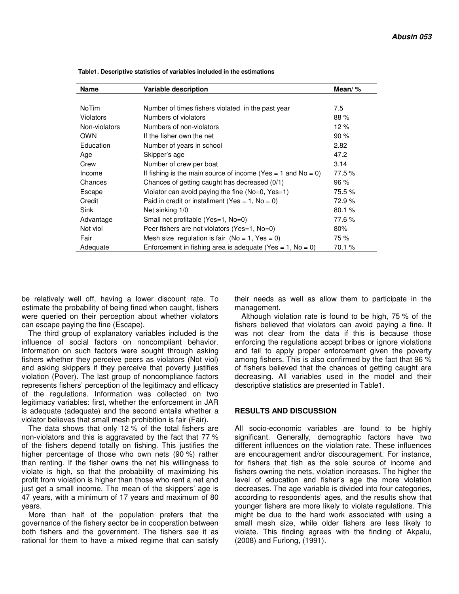| Name             | <b>Variable description</b>                                  | Mean/ $%$ |
|------------------|--------------------------------------------------------------|-----------|
|                  |                                                              |           |
| <b>NoTim</b>     | Number of times fishers violated in the past year            | 7.5       |
| <b>Violators</b> | Numbers of violators                                         | 88%       |
| Non-violators    | Numbers of non-violators                                     | 12%       |
| <b>OWN</b>       | If the fisher own the net                                    | 90%       |
| Education        | Number of years in school                                    | 2.82      |
| Age              | Skipper's age                                                | 47.2      |
| Crew             | Number of crew per boat                                      | 3.14      |
| Income           | If fishing is the main source of income (Yes = 1 and No = 0) | 77.5 %    |
| Chances          | Chances of getting caught has decreased (0/1)                | 96%       |
| Escape           | Violator can avoid paying the fine ( $No=0$ , $Yes=1$ )      | 75.5 %    |
| Credit           | Paid in credit or installment (Yes = $1$ , No = 0)           | 72.9%     |
| Sink             | Net sinking 1/0                                              | 80.1%     |
| Advantage        | Small net profitable (Yes=1, No=0)                           | 77.6%     |
| Not viol         | Peer fishers are not violators (Yes=1, No=0)                 | 80%       |
| Fair             | Mesh size regulation is fair ( $No = 1$ , $Yes = 0$ )        | 75 %      |
| Adequate         | Enforcement in fishing area is adequate (Yes = 1, No = 0)    | 70.1 %    |

 **Table1. Descriptive statistics of variables included in the estimations** 

be relatively well off, having a lower discount rate. To estimate the probability of being fined when caught, fishers were queried on their perception about whether violators can escape paying the fine (Escape).

The third group of explanatory variables included is the influence of social factors on noncompliant behavior. Information on such factors were sought through asking fishers whether they perceive peers as violators (Not viol) and asking skippers if they perceive that poverty justifies violation (Pover). The last group of noncompliance factors represents fishers' perception of the legitimacy and efficacy of the regulations. Information was collected on two legitimacy variables: first, whether the enforcement in JAR is adequate (adequate) and the second entails whether a violator believes that small mesh prohibition is fair (Fair).

The data shows that only 12 % of the total fishers are non-violators and this is aggravated by the fact that 77 % of the fishers depend totally on fishing. This justifies the higher percentage of those who own nets (90 %) rather than renting. If the fisher owns the net his willingness to violate is high, so that the probability of maximizing his profit from violation is higher than those who rent a net and just get a small income. The mean of the skippers' age is 47 years, with a minimum of 17 years and maximum of 80 years.

More than half of the population prefers that the governance of the fishery sector be in cooperation between both fishers and the government. The fishers see it as rational for them to have a mixed regime that can satisfy their needs as well as allow them to participate in the management.

Although violation rate is found to be high, 75 % of the fishers believed that violators can avoid paying a fine. It was not clear from the data if this is because those enforcing the regulations accept bribes or ignore violations and fail to apply proper enforcement given the poverty among fishers. This is also confirmed by the fact that 96 % of fishers believed that the chances of getting caught are decreasing. All variables used in the model and their descriptive statistics are presented in Table1.

## **RESULTS AND DISCUSSION**

All socio-economic variables are found to be highly significant. Generally, demographic factors have two different influences on the violation rate. These influences are encouragement and/or discouragement. For instance, for fishers that fish as the sole source of income and fishers owning the nets, violation increases. The higher the level of education and fisher's age the more violation decreases. The age variable is divided into four categories, according to respondents' ages, and the results show that younger fishers are more likely to violate regulations. This might be due to the hard work associated with using a small mesh size, while older fishers are less likely to violate. This finding agrees with the finding of Akpalu, (2008) and Furlong, (1991).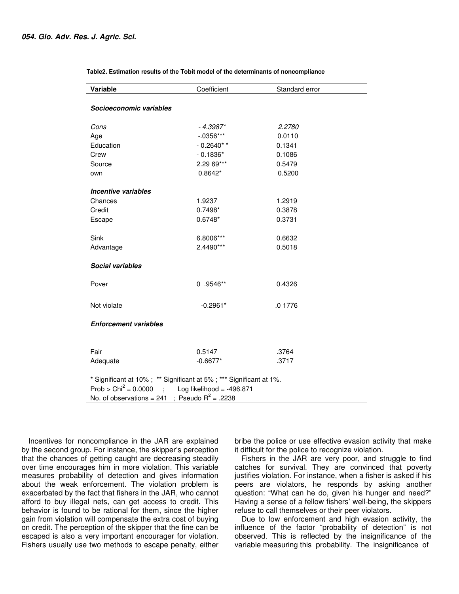| Variable                                                                                                                                                                                 | Coefficient  | Standard error |  |  |
|------------------------------------------------------------------------------------------------------------------------------------------------------------------------------------------|--------------|----------------|--|--|
| Socioeconomic variables                                                                                                                                                                  |              |                |  |  |
| Cons                                                                                                                                                                                     | $-4.3987*$   | 2.2780         |  |  |
| Age                                                                                                                                                                                      | $-0.0356***$ | 0.0110         |  |  |
| Education                                                                                                                                                                                | $-0.2640**$  | 0.1341         |  |  |
| Crew                                                                                                                                                                                     | $-0.1836*$   | 0.1086         |  |  |
| Source                                                                                                                                                                                   | 2.29 69***   | 0.5479         |  |  |
| own                                                                                                                                                                                      | $0.8642*$    | 0.5200         |  |  |
| Incentive variables                                                                                                                                                                      |              |                |  |  |
| Chances                                                                                                                                                                                  | 1.9237       | 1.2919         |  |  |
| Credit                                                                                                                                                                                   | $0.7498*$    | 0.3878         |  |  |
| Escape                                                                                                                                                                                   | $0.6748*$    | 0.3731         |  |  |
|                                                                                                                                                                                          |              |                |  |  |
| Sink                                                                                                                                                                                     | 6.8006***    | 0.6632         |  |  |
| Advantage                                                                                                                                                                                | 2.4490***    | 0.5018         |  |  |
| <b>Social variables</b>                                                                                                                                                                  |              |                |  |  |
| Pover                                                                                                                                                                                    | $0.9546**$   | 0.4326         |  |  |
| Not violate                                                                                                                                                                              | $-0.2961*$   | .0 1776        |  |  |
| <b>Enforcement variables</b>                                                                                                                                                             |              |                |  |  |
|                                                                                                                                                                                          |              |                |  |  |
| Fair                                                                                                                                                                                     | 0.5147       | .3764          |  |  |
| Adequate                                                                                                                                                                                 | $-0.6677*$   | .3717          |  |  |
| * Significant at 10%; ** Significant at 5%; *** Significant at 1%.<br>Prob > Chi <sup>2</sup> = $0.0000$ ; Log likelihood = -496.871<br>No. of observations = 241 ; Pseudo $R^2$ = .2238 |              |                |  |  |

 **Table2. Estimation results of the Tobit model of the determinants of noncompliance**

Incentives for noncompliance in the JAR are explained by the second group. For instance, the skipper's perception that the chances of getting caught are decreasing steadily over time encourages him in more violation. This variable measures probability of detection and gives information about the weak enforcement. The violation problem is exacerbated by the fact that fishers in the JAR, who cannot afford to buy illegal nets, can get access to credit. This behavior is found to be rational for them, since the higher gain from violation will compensate the extra cost of buying on credit. The perception of the skipper that the fine can be escaped is also a very important encourager for violation. Fishers usually use two methods to escape penalty, either

bribe the police or use effective evasion activity that make it difficult for the police to recognize violation.

Fishers in the JAR are very poor, and struggle to find catches for survival. They are convinced that poverty justifies violation. For instance, when a fisher is asked if his peers are violators, he responds by asking another question: "What can he do, given his hunger and need?" Having a sense of a fellow fishers' well-being, the skippers refuse to call themselves or their peer violators.

Due to low enforcement and high evasion activity, the influence of the factor "probability of detection" is not observed. This is reflected by the insignificance of the variable measuring this probability. The insignificance of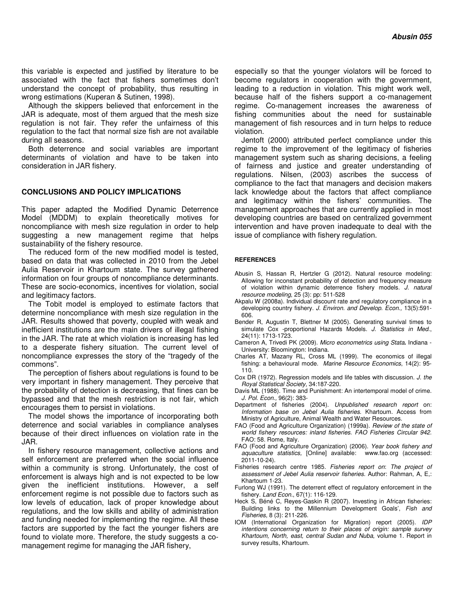this variable is expected and justified by literature to be associated with the fact that fishers sometimes don't understand the concept of probability, thus resulting in wrong estimations (Kuperan & Sutinen, 1998).

Although the skippers believed that enforcement in the JAR is adequate, most of them argued that the mesh size regulation is not fair. They refer the unfairness of this regulation to the fact that normal size fish are not available during all seasons.

Both deterrence and social variables are important determinants of violation and have to be taken into consideration in JAR fishery.

#### **CONCLUSIONS AND POLICY IMPLICATIONS**

This paper adapted the Modified Dynamic Deterrence Model (MDDM) to explain theoretically motives for noncompliance with mesh size regulation in order to help suggesting a new management regime that helps sustainability of the fishery resource.

The reduced form of the new modified model is tested, based on data that was collected in 2010 from the Jebel Aulia Reservoir in Khartoum state. The survey gathered information on four groups of noncompliance determinants. These are socio-economics, incentives for violation, social and legitimacy factors.

The Tobit model is employed to estimate factors that determine noncompliance with mesh size regulation in the JAR. Results showed that poverty, coupled with weak and inefficient institutions are the main drivers of illegal fishing in the JAR. The rate at which violation is increasing has led to a desperate fishery situation. The current level of noncompliance expresses the story of the "tragedy of the commons".

The perception of fishers about regulations is found to be very important in fishery management. They perceive that the probability of detection is decreasing, that fines can be bypassed and that the mesh restriction is not fair, which encourages them to persist in violations.

The model shows the importance of incorporating both deterrence and social variables in compliance analyses because of their direct influences on violation rate in the JAR.

In fishery resource management, collective actions and self enforcement are preferred when the social influence within a community is strong. Unfortunately, the cost of enforcement is always high and is not expected to be low given the inefficient institutions. However, a self enforcement regime is not possible due to factors such as low levels of education, lack of proper knowledge about regulations, and the low skills and ability of administration and funding needed for implementing the regime. All these factors are supported by the fact the younger fishers are found to violate more. Therefore, the study suggests a comanagement regime for managing the JAR fishery,

especially so that the younger violators will be forced to become regulators in cooperation with the government, leading to a reduction in violation. This might work well, because half of the fishers support a co-management regime. Co-management increases the awareness of fishing communities about the need for sustainable management of fish resources and in turn helps to reduce violation.

Jentoft (2000) attributed perfect compliance under this regime to the improvement of the legitimacy of fisheries management system such as sharing decisions, a feeling of fairness and justice and greater understanding of regulations. Nilsen, (2003) ascribes the success of compliance to the fact that managers and decision makers lack knowledge about the factors that affect compliance and legitimacy within the fishers' communities. The management approaches that are currently applied in most developing countries are based on centralized government intervention and have proven inadequate to deal with the issue of compliance with fishery regulation.

#### **REFERENCES**

- Abusin S, Hassan R, Hertzler G (2012). Natural resource modeling: Allowing for inconstant probability of detection and frequency measure of violation within dynamic deterrence fishery models. *J. natural resource modeling*, 25 (3): pp: 511-528
- Akpalu W (2008a). Individual discount rate and regulatory compliance in a developing country fishery. *J. Environ. and Develop. Econ.,* 13(5):591- 606.
- Bender R, Augustin T, Blettner M (2005). Generating survival times to simulate Cox -proportional Hazards Models. *J. Statistics in Med.*, 24(11): 1713-1723.
- Cameron A, Trivedi PK (2009). *Micro econometrics using Stata***.** Indiana University: Bloomington: Indiana.
- Charles AT, Mazany RL, Cross ML (1999). The economics of illegal fishing: a behavioural mode. *Marine Resource Economics*, 14(2): 95- 110.
- Cox DR (1972). Regression models and life tables with discussion. *J. the Royal Statistical Society,* 34:187-220.
- Davis ML (1988). Time and Punishment: An intertemporal model of crime. *J. Pol. Econ.,* 96(2): 383-
- Department of fisheries (2004). *Unpublished research report* on: *Information base on Jebel Aulia fisheries*. Khartoum. Access from Ministry of Agriculture, Animal Wealth and Water Resources.
- FAO (Food and Agriculture Organization) (1999a). *Review of the state of world fishery resources: inland fisheries. FAO Fisheries Circular 942.* FAO: 58. Rome, Italy.
- FAO (Food and Agriculture Organization) (2006). *Year book fishery and aquaculture statistics,* [Online] available: www.fao.org (accessed: 2011-10-24).
- Fisheries research centre 1985. *Fisheries report on*: *The project of assessment of Jebel Aulia reservoir fisheries*. Author: Rahman, A, E,: Khartoum 1-23.
- Furlong WJ (1991). The deterrent effect of regulatory enforcement in the fishery. *Land Econ.*, 67(1): 116-129.
- Heck S, Béné C, Reyes-Gaskin R (2007). Investing in African fisheries: Building links to the Millennium Development Goals', *Fish and Fisheries,* 8 (3): 211-226.
- IOM (International Organization for Migration) report (2005). *IDP intentions concerning return to their places of origin: sample survey Khartoum, North, east, central Sudan and Nuba*, volume 1. Report in survey results, Khartoum.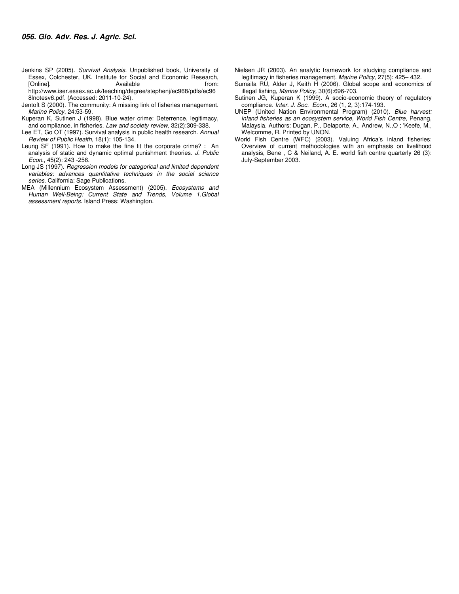Jenkins SP (2005). *Survival Analysis.* Unpublished book, University of Essex, Colchester, UK. Institute for Social and Economic Research, [Online]. **Available** from: Available from: http://www.iser.essex.ac.uk/teaching/degree/stephenj/ec968/pdfs/ec96

8lnotesv6.pdf. (Accessed: 2011-10-24). Jentoft S (2000). The community: A missing link of fisheries management. *Marine Policy*, 24:53-59.

Kuperan K, Sutinen J (1998). Blue water crime: Deterrence, legitimacy, and compliance, in fisheries. *Law and society review,* 32(2):309-338.

Lee ET, Go OT (1997). Survival analysis in public health research. *Annual Review of Public Health,* 18(1): 105-134.

Leung SF (1991). How to make the fine fit the corporate crime? : An analysis of static and dynamic optimal punishment theories. *J. Public Econ.*, 45(2): 243 -256.

Long JS (1997). *Regression models for categorical and limited dependent variables: advances quantitative techniques in the social science series.* California: Sage Publications.

MEA (Millennium Ecosystem Assessment) (2005). *Ecosystems and Human Well-Being: Current State and Trends, Volume 1*.*Global assessment reports*. Island Press: Washington.

- Nielsen JR (2003). An analytic framework for studying compliance and legitimacy in fisheries management. *Marine Policy*, 27(5): 425– 432.
- Sumaila RU, Alder J, Keith H (2006). Global scope and economics of illegal fishing, *Marine Policy,* 30(6):696-703.
- Sutinen JG, Kuperan K (1999). A socio-economic theory of regulatory compliance. *Inter. J. Soc. Econ.*, 26 (1, 2, 3):174-193.
- UNEP (United Nation Environmental Program) (2010). *Blue harvest: inland fisheries as an ecosystem service, World Fish Centre*, Penang, Malaysia. Authors: Dugan, P., Delaporte, A., Andrew, N.,O ; 'Keefe, M., Welcomme, R. Printed by UNON.
- World Fish Centre (WFC) (2003). Valuing Africa's inland fisheries: Overview of current methodologies with an emphasis on livelihood analysis, Bene , C & Neiland, A. E. world fish centre quarterly 26 (3): July-September 2003.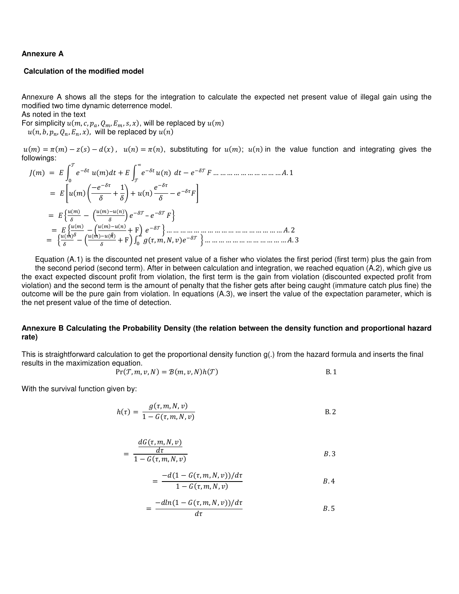### **Annexure A**

## **Calculation of the modified model**

Annexure A shows all the steps for the integration to calculate the expected net present value of illegal gain using the modified two time dynamic deterrence model.

As noted in the text

For simplicity  $u(m, c, p_a, Q_m, E_m, s, x)$ , will be replaced by  $u(m)$ 

 $u(n, b, p_n, Q_n, E_n, x)$ , will be replaced by  $u(n)$ 

 $u(m) = \pi(m) - z(s) - d(x)$ ,  $u(n) = \pi(n)$ , substituting for  $u(m)$ ;  $u(n)$  in the value function and integrating gives the followings:

 () = F .()\$% + F .(() *∞* 7 7 \$% − 7 , … … … … … … … … … … \. 1 = 3.() ] − 2 + 1 2 ^ + .(() 2 − ,4 = \_`(-) − a`(-)`(
) b 7 – 7 ,d = \_`(-) − a`(-)`(
) + Fb 7 d … … … … … … … … … … … … … … … … … \. 2 = \_ `(-) − a`(-)`(
) + Fb 0(@, , X, 8) *<sup>∞</sup>* 7 d … … … … … … … … … … … … \. 3

Equation (A.1) is the discounted net present value of a fisher who violates the first period (first term) plus the gain from the second period (second term). After in between calculation and integration, we reached equation (A.2), which give us the exact expected discount profit from violation, the first term is the gain from violation (discounted expected profit from violation) and the second term is the amount of penalty that the fisher gets after being caught (immature catch plus fine) the outcome will be the pure gain from violation. In equations (A.3), we insert the value of the expectation parameter, which is the net present value of the time of detection.

## **Annexure B Calculating the Probability Density (the relation between the density function and proportional hazard rate)**

This is straightforward calculation to get the proportional density function  $g(.)$  from the hazard formula and inserts the final results in the maximization equation.

$$
Pr(\mathcal{T}, m, \nu, N) = \mathcal{B}(m, \nu, N)h(\mathcal{T})
$$
 B. 1

With the survival function given by:

$$
h(\tau) = \frac{g(\tau, m, N, \nu)}{1 - G(\tau, m, N, \nu)}
$$
 B. 2

$$
= \frac{dG(\tau, m, N, \nu)}{1 - G(\tau, m, N, \nu)}
$$
 B.3

$$
= \frac{-d(1 - G(\tau, m, N, v))/d\tau}{1 - G(\tau, m, N, v)}
$$
 B.4

$$
=\frac{-dln(1-G(\tau,m,N,\nu))/d\tau}{d\tau}\qquad B.5
$$